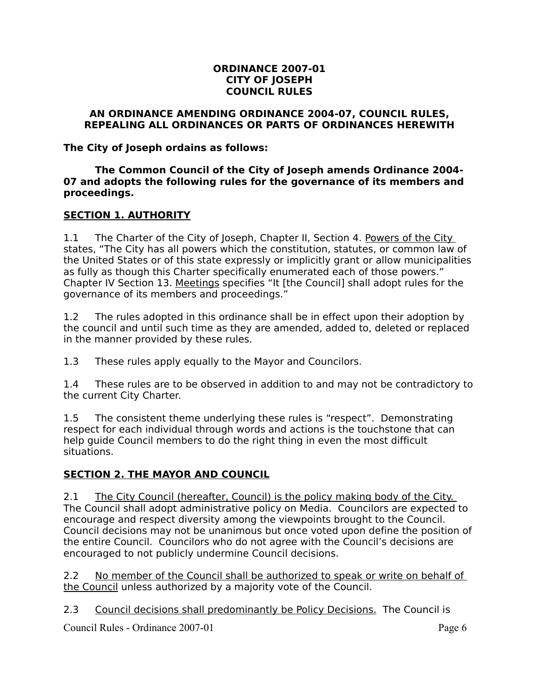#### **ORDINANCE 2007-01 CITY OF JOSEPH COUNCIL RULES**

#### **AN ORDINANCE AMENDING ORDINANCE 2004-07, COUNCIL RULES, REPEALING ALL ORDINANCES OR PARTS OF ORDINANCES HEREWITH**

**The City of Joseph ordains as follows:**

**The Common Council of the City of Joseph amends Ordinance 2004- 07 and adopts the following rules for the governance of its members and proceedings.**

#### **SECTION 1. AUTHORITY**

1.1 The Charter of the City of Joseph, Chapter II, Section 4. Powers of the City states, "The City has all powers which the constitution, statutes, or common law of the United States or of this state expressly or implicitly grant or allow municipalities as fully as though this Charter specifically enumerated each of those powers." Chapter IV Section 13. Meetings specifies "It [the Council] shall adopt rules for the governance of its members and proceedings."

1.2 The rules adopted in this ordinance shall be in effect upon their adoption by the council and until such time as they are amended, added to, deleted or replaced in the manner provided by these rules.

1.3 These rules apply equally to the Mayor and Councilors.

1.4 These rules are to be observed in addition to and may not be contradictory to the current City Charter.

1.5 The consistent theme underlying these rules is "respect". Demonstrating respect for each individual through words and actions is the touchstone that can help guide Council members to do the right thing in even the most difficult situations.

#### **SECTION 2. THE MAYOR AND COUNCIL**

2.1 The City Council (hereafter, Council) is the policy making body of the City. The Council shall adopt administrative policy on Media. Councilors are expected to encourage and respect diversity among the viewpoints brought to the Council. Council decisions may not be unanimous but once voted upon define the position of the entire Council. Councilors who do not agree with the Council's decisions are encouraged to not publicly undermine Council decisions.

2.2 No member of the Council shall be authorized to speak or write on behalf of the Council unless authorized by a majority vote of the Council.

2.3 Council decisions shall predominantly be Policy Decisions. The Council is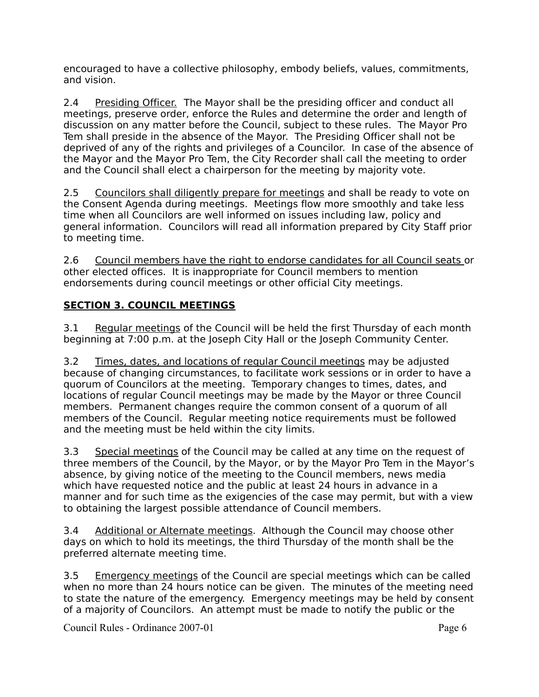encouraged to have a collective philosophy, embody beliefs, values, commitments, and vision.

2.4 Presiding Officer.The Mayor shall be the presiding officer and conduct all meetings, preserve order, enforce the Rules and determine the order and length of discussion on any matter before the Council, subject to these rules. The Mayor Pro Tem shall preside in the absence of the Mayor. The Presiding Officer shall not be deprived of any of the rights and privileges of a Councilor. In case of the absence of the Mayor and the Mayor Pro Tem, the City Recorder shall call the meeting to order and the Council shall elect a chairperson for the meeting by majority vote.

2.5 Councilors shall diligently prepare for meetings and shall be ready to vote on the Consent Agenda during meetings. Meetings flow more smoothly and take less time when all Councilors are well informed on issues including law, policy and general information. Councilors will read all information prepared by City Staff prior to meeting time.

2.6 Council members have the right to endorse candidates for all Council seats or other elected offices. It is inappropriate for Council members to mention endorsements during council meetings or other official City meetings.

### **SECTION 3. COUNCIL MEETINGS**

3.1 Regular meetings of the Council will be held the first Thursday of each month beginning at 7:00 p.m. at the Joseph City Hall or the Joseph Community Center.

3.2 Times, dates, and locations of regular Council meetings may be adjusted because of changing circumstances, to facilitate work sessions or in order to have a quorum of Councilors at the meeting. Temporary changes to times, dates, and locations of regular Council meetings may be made by the Mayor or three Council members. Permanent changes require the common consent of a quorum of all members of the Council. Regular meeting notice requirements must be followed and the meeting must be held within the city limits.

3.3 Special meetings of the Council may be called at any time on the request of three members of the Council, by the Mayor, or by the Mayor Pro Tem in the Mayor's absence, by giving notice of the meeting to the Council members, news media which have requested notice and the public at least 24 hours in advance in a manner and for such time as the exigencies of the case may permit, but with a view to obtaining the largest possible attendance of Council members.

3.4 Additional or Alternate meetings. Although the Council may choose other days on which to hold its meetings, the third Thursday of the month shall be the preferred alternate meeting time.

3.5 Emergency meetings of the Council are special meetings which can be called when no more than 24 hours notice can be given. The minutes of the meeting need to state the nature of the emergency. Emergency meetings may be held by consent of a majority of Councilors. An attempt must be made to notify the public or the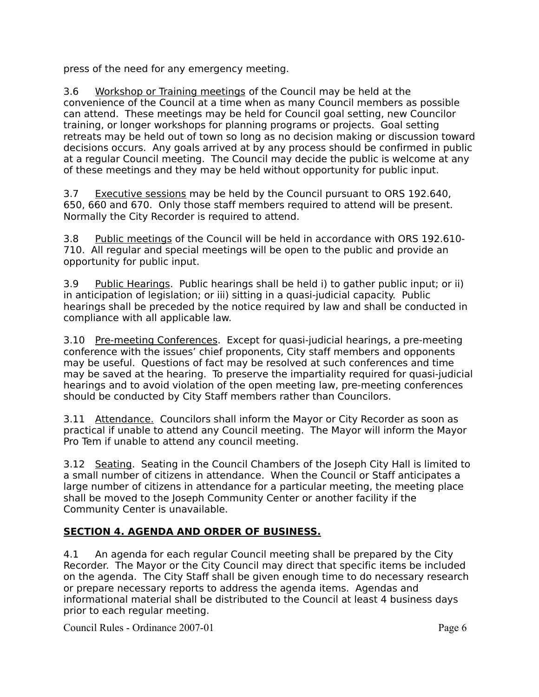press of the need for any emergency meeting.

3.6 Workshop or Training meetings of the Council may be held at the convenience of the Council at a time when as many Council members as possible can attend. These meetings may be held for Council goal setting, new Councilor training, or longer workshops for planning programs or projects. Goal setting retreats may be held out of town so long as no decision making or discussion toward decisions occurs. Any goals arrived at by any process should be confirmed in public at a regular Council meeting. The Council may decide the public is welcome at any of these meetings and they may be held without opportunity for public input.

3.7 Executive sessions may be held by the Council pursuant to ORS 192.640, 650, 660 and 670. Only those staff members required to attend will be present. Normally the City Recorder is required to attend.

3.8 Public meetings of the Council will be held in accordance with ORS 192.610- 710. All regular and special meetings will be open to the public and provide an opportunity for public input.

3.9 Public Hearings. Public hearings shall be held i) to gather public input; or ii) in anticipation of legislation; or iii) sitting in a quasi-judicial capacity. Public hearings shall be preceded by the notice required by law and shall be conducted in compliance with all applicable law.

3.10 Pre-meeting Conferences. Except for quasi-judicial hearings, a pre-meeting conference with the issues' chief proponents, City staff members and opponents may be useful. Questions of fact may be resolved at such conferences and time may be saved at the hearing. To preserve the impartiality required for quasi-judicial hearings and to avoid violation of the open meeting law, pre-meeting conferences should be conducted by City Staff members rather than Councilors.

3.11 Attendance. Councilors shall inform the Mayor or City Recorder as soon as practical if unable to attend any Council meeting. The Mayor will inform the Mayor Pro Tem if unable to attend any council meeting.

3.12 Seating. Seating in the Council Chambers of the Joseph City Hall is limited to a small number of citizens in attendance. When the Council or Staff anticipates a large number of citizens in attendance for a particular meeting, the meeting place shall be moved to the Joseph Community Center or another facility if the Community Center is unavailable.

# **SECTION 4. AGENDA AND ORDER OF BUSINESS.**

4.1 An agenda for each regular Council meeting shall be prepared by the City Recorder. The Mayor or the City Council may direct that specific items be included on the agenda. The City Staff shall be given enough time to do necessary research or prepare necessary reports to address the agenda items. Agendas and informational material shall be distributed to the Council at least 4 business days prior to each regular meeting.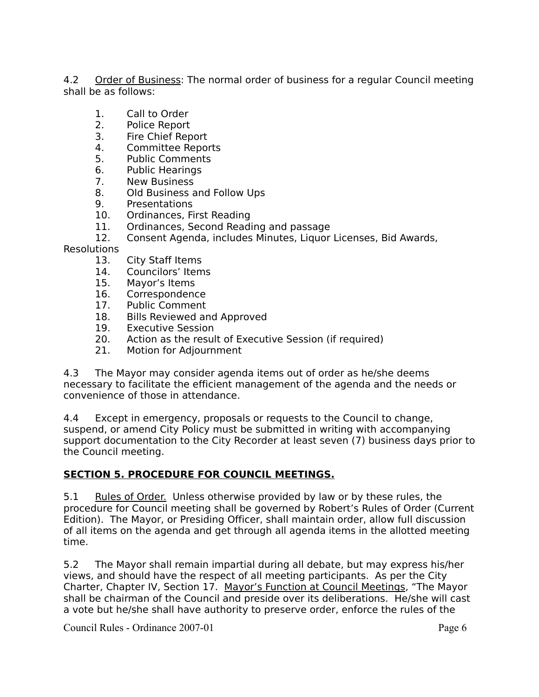4.2 Order of Business: The normal order of business for a regular Council meeting shall be as follows:

- 1. Call to Order
- 2. Police Report
- 3. Fire Chief Report
- 4. Committee Reports
- 5. Public Comments
- 6. Public Hearings
- 7. New Business
- 8. Old Business and Follow Ups
- 9. Presentations
- 10. Ordinances, First Reading
- 11. Ordinances, Second Reading and passage
- 12. Consent Agenda, includes Minutes, Liquor Licenses, Bid Awards,

Resolutions

- 13. City Staff Items
- 14. Councilors' Items<br>15. Mavor's Items
- Mayor's Items
- 16. Correspondence
- 17. Public Comment
- 18. Bills Reviewed and Approved
- 19. Executive Session<br>20. Action as the resul
- Action as the result of Executive Session (if required)
- 21. Motion for Adjournment

4.3 The Mayor may consider agenda items out of order as he/she deems necessary to facilitate the efficient management of the agenda and the needs or convenience of those in attendance.

4.4 Except in emergency, proposals or requests to the Council to change, suspend, or amend City Policy must be submitted in writing with accompanying support documentation to the City Recorder at least seven (7) business days prior to the Council meeting.

#### **SECTION 5. PROCEDURE FOR COUNCIL MEETINGS.**

5.1 Rules of Order. Unless otherwise provided by law or by these rules, the procedure for Council meeting shall be governed by Robert's Rules of Order (Current Edition). The Mayor, or Presiding Officer, shall maintain order, allow full discussion of all items on the agenda and get through all agenda items in the allotted meeting time.

5.2 The Mayor shall remain impartial during all debate, but may express his/her views, and should have the respect of all meeting participants. As per the City Charter, Chapter IV, Section 17. Mayor's Function at Council Meetings, "The Mayor shall be chairman of the Council and preside over its deliberations. He/she will cast a vote but he/she shall have authority to preserve order, enforce the rules of the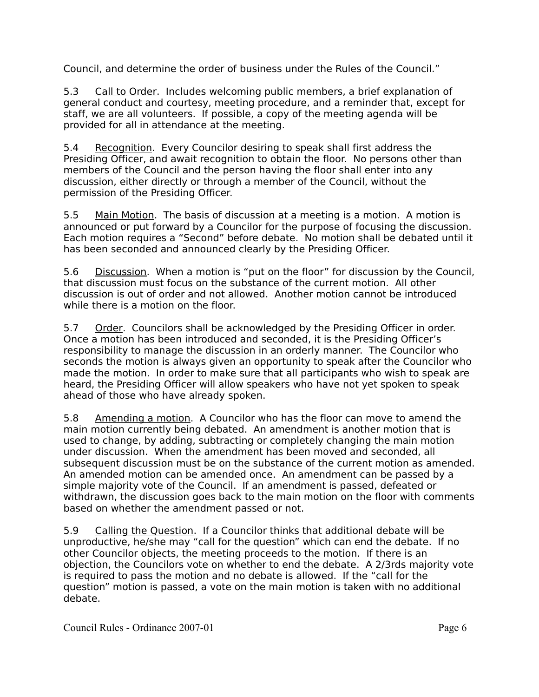Council, and determine the order of business under the Rules of the Council."

5.3 Call to Order. Includes welcoming public members, a brief explanation of general conduct and courtesy, meeting procedure, and a reminder that, except for staff, we are all volunteers. If possible, a copy of the meeting agenda will be provided for all in attendance at the meeting.

5.4 Recognition. Every Councilor desiring to speak shall first address the Presiding Officer, and await recognition to obtain the floor. No persons other than members of the Council and the person having the floor shall enter into any discussion, either directly or through a member of the Council, without the permission of the Presiding Officer.

5.5 Main Motion. The basis of discussion at a meeting is a motion. A motion is announced or put forward by a Councilor for the purpose of focusing the discussion. Each motion requires a "Second" before debate. No motion shall be debated until it has been seconded and announced clearly by the Presiding Officer.

5.6 Discussion. When a motion is "put on the floor" for discussion by the Council, that discussion must focus on the substance of the current motion. All other discussion is out of order and not allowed. Another motion cannot be introduced while there is a motion on the floor.

5.7 Order. Councilors shall be acknowledged by the Presiding Officer in order. Once a motion has been introduced and seconded, it is the Presiding Officer's responsibility to manage the discussion in an orderly manner. The Councilor who seconds the motion is always given an opportunity to speak after the Councilor who made the motion. In order to make sure that all participants who wish to speak are heard, the Presiding Officer will allow speakers who have not yet spoken to speak ahead of those who have already spoken.

5.8 Amending a motion. A Councilor who has the floor can move to amend the main motion currently being debated. An amendment is another motion that is used to change, by adding, subtracting or completely changing the main motion under discussion. When the amendment has been moved and seconded, all subsequent discussion must be on the substance of the current motion as amended. An amended motion can be amended once. An amendment can be passed by a simple majority vote of the Council. If an amendment is passed, defeated or withdrawn, the discussion goes back to the main motion on the floor with comments based on whether the amendment passed or not.

5.9 Calling the Question. If a Councilor thinks that additional debate will be unproductive, he/she may "call for the question" which can end the debate. If no other Councilor objects, the meeting proceeds to the motion. If there is an objection, the Councilors vote on whether to end the debate. A 2/3rds majority vote is required to pass the motion and no debate is allowed. If the "call for the question" motion is passed, a vote on the main motion is taken with no additional debate.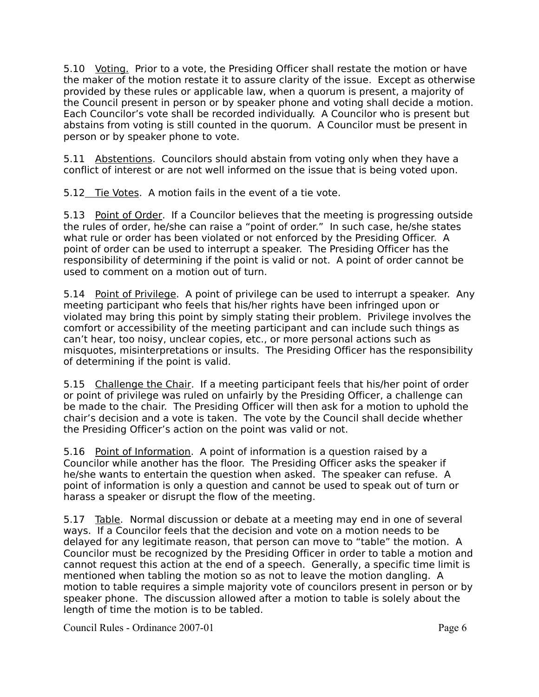5.10 *Voting.* Prior to a vote, the Presiding Officer shall restate the motion or have the maker of the motion restate it to assure clarity of the issue. Except as otherwise provided by these rules or applicable law, when a quorum is present, a majority of the Council present in person or by speaker phone and voting shall decide a motion. Each Councilor's vote shall be recorded individually. A Councilor who is present but abstains from voting is still counted in the quorum. A Councilor must be present in person or by speaker phone to vote.

5.11 Abstentions. Councilors should abstain from voting only when they have a conflict of interest or are not well informed on the issue that is being voted upon.

5.12 Tie Votes. A motion fails in the event of a tie vote.

5.13 Point of Order. If a Councilor believes that the meeting is progressing outside the rules of order, he/she can raise a "point of order." In such case, he/she states what rule or order has been violated or not enforced by the Presiding Officer. A point of order can be used to interrupt a speaker. The Presiding Officer has the responsibility of determining if the point is valid or not. A point of order cannot be used to comment on a motion out of turn.

5.14 Point of Privilege. A point of privilege can be used to interrupt a speaker. Any meeting participant who feels that his/her rights have been infringed upon or violated may bring this point by simply stating their problem. Privilege involves the comfort or accessibility of the meeting participant and can include such things as can't hear, too noisy, unclear copies, etc., or more personal actions such as misquotes, misinterpretations or insults. The Presiding Officer has the responsibility of determining if the point is valid.

5.15 Challenge the Chair. If a meeting participant feels that his/her point of order or point of privilege was ruled on unfairly by the Presiding Officer, a challenge can be made to the chair. The Presiding Officer will then ask for a motion to uphold the chair's decision and a vote is taken. The vote by the Council shall decide whether the Presiding Officer's action on the point was valid or not.

5.16 Point of Information. A point of information is a question raised by a Councilor while another has the floor. The Presiding Officer asks the speaker if he/she wants to entertain the question when asked. The speaker can refuse. A point of information is only a question and cannot be used to speak out of turn or harass a speaker or disrupt the flow of the meeting.

5.17 Table. Normal discussion or debate at a meeting may end in one of several ways. If a Councilor feels that the decision and vote on a motion needs to be delayed for any legitimate reason, that person can move to "table" the motion. A Councilor must be recognized by the Presiding Officer in order to table a motion and cannot request this action at the end of a speech. Generally, a specific time limit is mentioned when tabling the motion so as not to leave the motion dangling. A motion to table requires a simple majority vote of councilors present in person or by speaker phone. The discussion allowed after a motion to table is solely about the length of time the motion is to be tabled.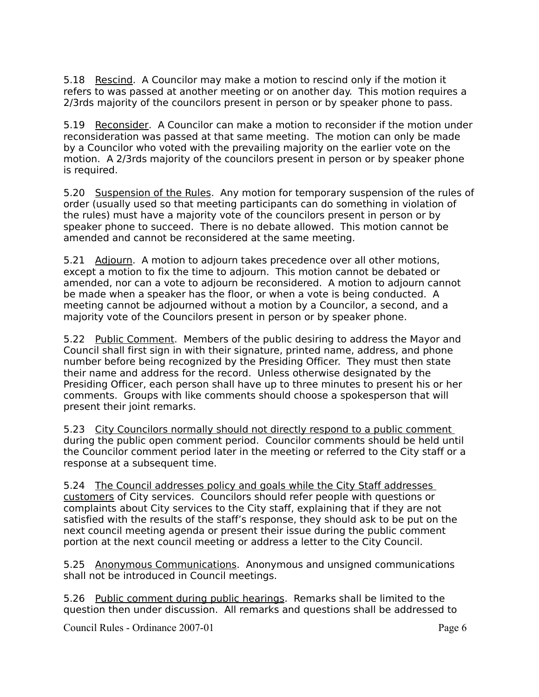5.18 Rescind. A Councilor may make a motion to rescind only if the motion it refers to was passed at another meeting or on another day. This motion requires a 2/3rds majority of the councilors present in person or by speaker phone to pass.

5.19 Reconsider. A Councilor can make a motion to reconsider if the motion under reconsideration was passed at that same meeting. The motion can only be made by a Councilor who voted with the prevailing majority on the earlier vote on the motion. A 2/3rds majority of the councilors present in person or by speaker phone is required.

5.20 Suspension of the Rules. Any motion for temporary suspension of the rules of order (usually used so that meeting participants can do something in violation of the rules) must have a majority vote of the councilors present in person or by speaker phone to succeed. There is no debate allowed. This motion cannot be amended and cannot be reconsidered at the same meeting.

5.21 Adjourn. A motion to adjourn takes precedence over all other motions, except a motion to fix the time to adjourn. This motion cannot be debated or amended, nor can a vote to adjourn be reconsidered. A motion to adjourn cannot be made when a speaker has the floor, or when a vote is being conducted. A meeting cannot be adjourned without a motion by a Councilor, a second, and a majority vote of the Councilors present in person or by speaker phone.

5.22 Public Comment. Members of the public desiring to address the Mayor and Council shall first sign in with their signature, printed name, address, and phone number before being recognized by the Presiding Officer. They must then state their name and address for the record. Unless otherwise designated by the Presiding Officer, each person shall have up to three minutes to present his or her comments. Groups with like comments should choose a spokesperson that will present their joint remarks.

5.23 City Councilors normally should not directly respond to a public comment during the public open comment period. Councilor comments should be held until the Councilor comment period later in the meeting or referred to the City staff or a response at a subsequent time.

5.24 The Council addresses policy and goals while the City Staff addresses customers of City services. Councilors should refer people with questions or complaints about City services to the City staff, explaining that if they are not satisfied with the results of the staff's response, they should ask to be put on the next council meeting agenda or present their issue during the public comment portion at the next council meeting or address a letter to the City Council.

5.25 Anonymous Communications. Anonymous and unsigned communications shall not be introduced in Council meetings.

5.26 Public comment during public hearings. Remarks shall be limited to the question then under discussion. All remarks and questions shall be addressed to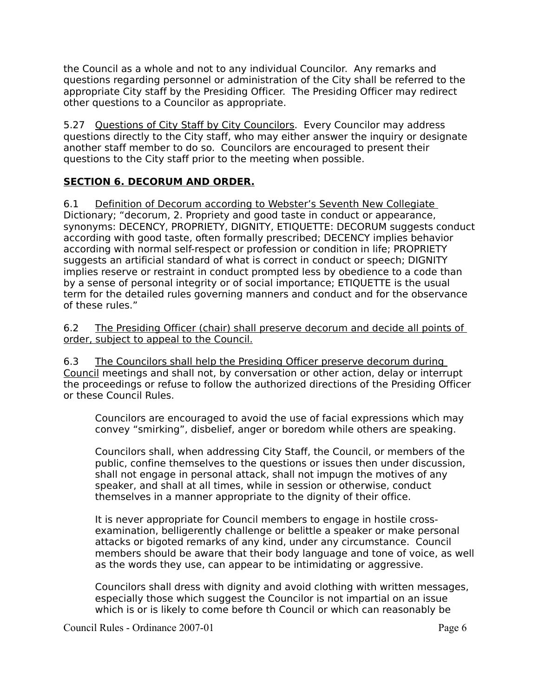the Council as a whole and not to any individual Councilor. Any remarks and questions regarding personnel or administration of the City shall be referred to the appropriate City staff by the Presiding Officer. The Presiding Officer may redirect other questions to a Councilor as appropriate.

5.27 Questions of City Staff by City Councilors. Every Councilor may address questions directly to the City staff, who may either answer the inquiry or designate another staff member to do so. Councilors are encouraged to present their questions to the City staff prior to the meeting when possible.

### **SECTION 6. DECORUM AND ORDER.**

6.1 Definition of Decorum according to Webster's Seventh New Collegiate Dictionary; "decorum, 2. Propriety and good taste in conduct or appearance, synonyms: DECENCY, PROPRIETY, DIGNITY, ETIQUETTE: DECORUM suggests conduct according with good taste, often formally prescribed; DECENCY implies behavior according with normal self-respect or profession or condition in life; PROPRIETY suggests an artificial standard of what is correct in conduct or speech; DIGNITY implies reserve or restraint in conduct prompted less by obedience to a code than by a sense of personal integrity or of social importance; ETIQUETTE is the usual term for the detailed rules governing manners and conduct and for the observance of these rules."

6.2 The Presiding Officer (chair) shall preserve decorum and decide all points of order, subject to appeal to the Council.

6.3 The Councilors shall help the Presiding Officer preserve decorum during Council meetings and shall not, by conversation or other action, delay or interrupt the proceedings or refuse to follow the authorized directions of the Presiding Officer or these Council Rules.

Councilors are encouraged to avoid the use of facial expressions which may convey "smirking", disbelief, anger or boredom while others are speaking.

Councilors shall, when addressing City Staff, the Council, or members of the public, confine themselves to the questions or issues then under discussion, shall not engage in personal attack, shall not impugn the motives of any speaker, and shall at all times, while in session or otherwise, conduct themselves in a manner appropriate to the dignity of their office.

It is never appropriate for Council members to engage in hostile crossexamination, belligerently challenge or belittle a speaker or make personal attacks or bigoted remarks of any kind, under any circumstance. Council members should be aware that their body language and tone of voice, as well as the words they use, can appear to be intimidating or aggressive.

Councilors shall dress with dignity and avoid clothing with written messages, especially those which suggest the Councilor is not impartial on an issue which is or is likely to come before th Council or which can reasonably be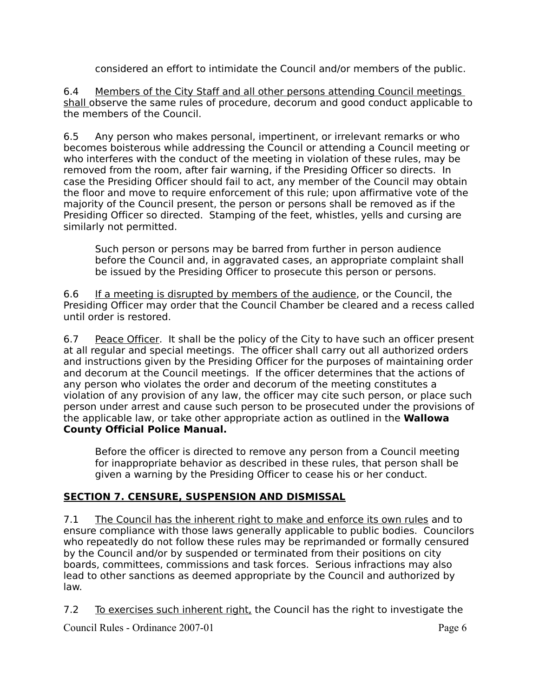considered an effort to intimidate the Council and/or members of the public.

6.4 Members of the City Staff and all other persons attending Council meetings shall observe the same rules of procedure, decorum and good conduct applicable to the members of the Council.

6.5 Any person who makes personal, impertinent, or irrelevant remarks or who becomes boisterous while addressing the Council or attending a Council meeting or who interferes with the conduct of the meeting in violation of these rules, may be removed from the room, after fair warning, if the Presiding Officer so directs. In case the Presiding Officer should fail to act, any member of the Council may obtain the floor and move to require enforcement of this rule; upon affirmative vote of the majority of the Council present, the person or persons shall be removed as if the Presiding Officer so directed. Stamping of the feet, whistles, yells and cursing are similarly not permitted.

Such person or persons may be barred from further in person audience before the Council and, in aggravated cases, an appropriate complaint shall be issued by the Presiding Officer to prosecute this person or persons.

6.6 If a meeting is disrupted by members of the audience, or the Council, the Presiding Officer may order that the Council Chamber be cleared and a recess called until order is restored.

6.7 Peace Officer. It shall be the policy of the City to have such an officer present at all regular and special meetings. The officer shall carry out all authorized orders and instructions given by the Presiding Officer for the purposes of maintaining order and decorum at the Council meetings. If the officer determines that the actions of any person who violates the order and decorum of the meeting constitutes a violation of any provision of any law, the officer may cite such person, or place such person under arrest and cause such person to be prosecuted under the provisions of the applicable law, or take other appropriate action as outlined in the **Wallowa County Official Police Manual.**

Before the officer is directed to remove any person from a Council meeting for inappropriate behavior as described in these rules, that person shall be given a warning by the Presiding Officer to cease his or her conduct.

#### **SECTION 7. CENSURE, SUSPENSION AND DISMISSAL**

7.1 The Council has the inherent right to make and enforce its own rules and to ensure compliance with those laws generally applicable to public bodies. Councilors who repeatedly do not follow these rules may be reprimanded or formally censured by the Council and/or by suspended or terminated from their positions on city boards, committees, commissions and task forces. Serious infractions may also lead to other sanctions as deemed appropriate by the Council and authorized by law.

7.2 To exercises such inherent right, the Council has the right to investigate the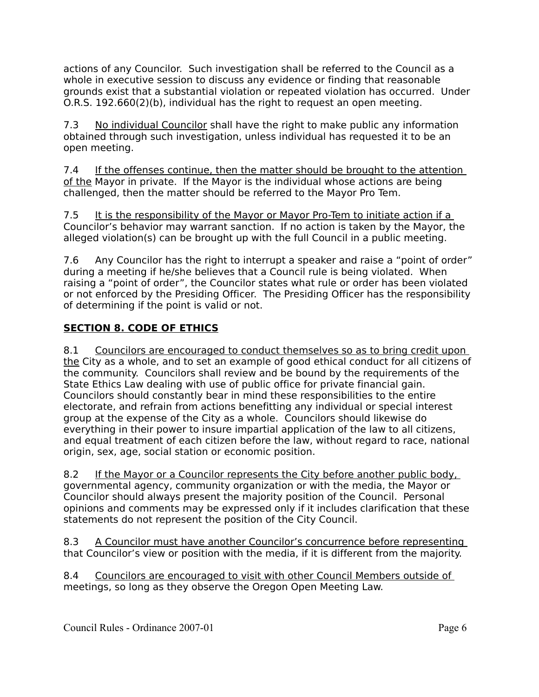actions of any Councilor. Such investigation shall be referred to the Council as a whole in executive session to discuss any evidence or finding that reasonable grounds exist that a substantial violation or repeated violation has occurred. Under O.R.S. 192.660(2)(b), individual has the right to request an open meeting.

7.3 No individual Councilor shall have the right to make public any information obtained through such investigation, unless individual has requested it to be an open meeting.

7.4 If the offenses continue, then the matter should be brought to the attention of the Mayor in private. If the Mayor is the individual whose actions are being challenged, then the matter should be referred to the Mayor Pro Tem.

7.5 It is the responsibility of the Mayor or Mayor Pro-Tem to initiate action if a Councilor's behavior may warrant sanction. If no action is taken by the Mayor, the alleged violation(s) can be brought up with the full Council in a public meeting.

7.6 Any Councilor has the right to interrupt a speaker and raise a "point of order" during a meeting if he/she believes that a Council rule is being violated. When raising a "point of order", the Councilor states what rule or order has been violated or not enforced by the Presiding Officer. The Presiding Officer has the responsibility of determining if the point is valid or not.

# **SECTION 8. CODE OF ETHICS**

8.1 Councilors are encouraged to conduct themselves so as to bring credit upon the City as a whole, and to set an example of good ethical conduct for all citizens of the community. Councilors shall review and be bound by the requirements of the State Ethics Law dealing with use of public office for private financial gain. Councilors should constantly bear in mind these responsibilities to the entire electorate, and refrain from actions benefitting any individual or special interest group at the expense of the City as a whole. Councilors should likewise do everything in their power to insure impartial application of the law to all citizens, and equal treatment of each citizen before the law, without regard to race, national origin, sex, age, social station or economic position.

8.2 If the Mayor or a Councilor represents the City before another public body, governmental agency, community organization or with the media, the Mayor or Councilor should always present the majority position of the Council. Personal opinions and comments may be expressed only if it includes clarification that these statements do not represent the position of the City Council.

8.3 A Councilor must have another Councilor's concurrence before representing that Councilor's view or position with the media, if it is different from the majority.

8.4 Councilors are encouraged to visit with other Council Members outside of meetings, so long as they observe the Oregon Open Meeting Law.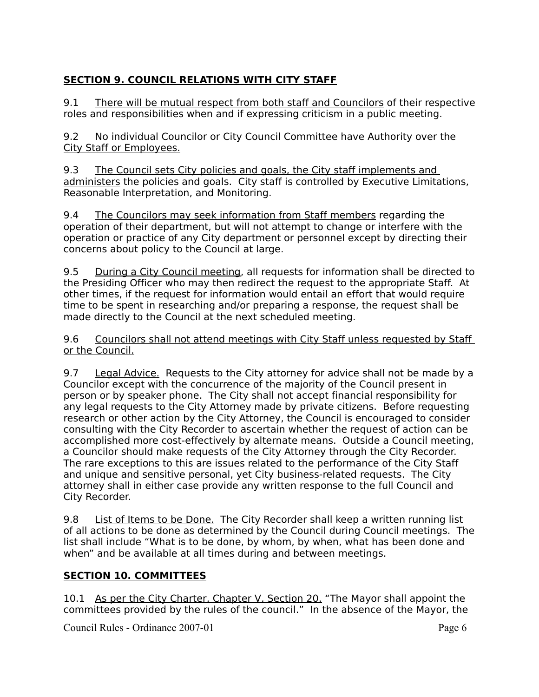# **SECTION 9. COUNCIL RELATIONS WITH CITY STAFF**

9.1 There will be mutual respect from both staff and Councilors of their respective roles and responsibilities when and if expressing criticism in a public meeting.

9.2 No individual Councilor or City Council Committee have Authority over the City Staff or Employees.

9.3 The Council sets City policies and goals, the City staff implements and administers the policies and goals. City staff is controlled by Executive Limitations, Reasonable Interpretation, and Monitoring.

9.4 The Councilors may seek information from Staff members regarding the operation of their department, but will not attempt to change or interfere with the operation or practice of any City department or personnel except by directing their concerns about policy to the Council at large.

9.5 During a City Council meeting, all requests for information shall be directed to the Presiding Officer who may then redirect the request to the appropriate Staff. At other times, if the request for information would entail an effort that would require time to be spent in researching and/or preparing a response, the request shall be made directly to the Council at the next scheduled meeting.

9.6 Councilors shall not attend meetings with City Staff unless requested by Staff or the Council.

9.7 Legal Advice. Requests to the City attorney for advice shall not be made by a Councilor except with the concurrence of the majority of the Council present in person or by speaker phone. The City shall not accept financial responsibility for any legal requests to the City Attorney made by private citizens. Before requesting research or other action by the City Attorney, the Council is encouraged to consider consulting with the City Recorder to ascertain whether the request of action can be accomplished more cost-effectively by alternate means. Outside a Council meeting, a Councilor should make requests of the City Attorney through the City Recorder. The rare exceptions to this are issues related to the performance of the City Staff and unique and sensitive personal, yet City business-related requests. The City attorney shall in either case provide any written response to the full Council and City Recorder.

9.8 List of Items to be Done. The City Recorder shall keep a written running list of all actions to be done as determined by the Council during Council meetings. The list shall include "What is to be done, by whom, by when, what has been done and when" and be available at all times during and between meetings.

# **SECTION 10. COMMITTEES**

10.1 As per the City Charter, Chapter V, Section 20. "The Mayor shall appoint the committees provided by the rules of the council." In the absence of the Mayor, the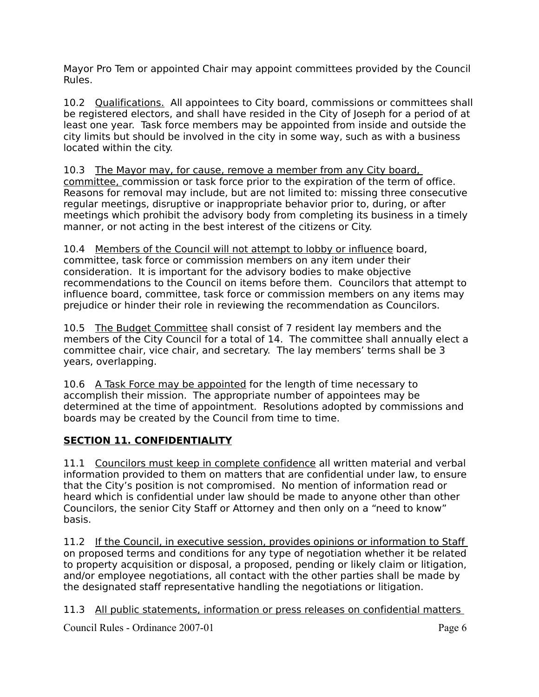Mayor Pro Tem or appointed Chair may appoint committees provided by the Council Rules.

10.2 Qualifications. All appointees to City board, commissions or committees shall be registered electors, and shall have resided in the City of Joseph for a period of at least one year. Task force members may be appointed from inside and outside the city limits but should be involved in the city in some way, such as with a business located within the city.

10.3 The Mayor may, for cause, remove a member from any City board, committee, commission or task force prior to the expiration of the term of office. Reasons for removal may include, but are not limited to: missing three consecutive regular meetings, disruptive or inappropriate behavior prior to, during, or after meetings which prohibit the advisory body from completing its business in a timely manner, or not acting in the best interest of the citizens or City.

10.4 Members of the Council will not attempt to lobby or influence board, committee, task force or commission members on any item under their consideration. It is important for the advisory bodies to make objective recommendations to the Council on items before them. Councilors that attempt to influence board, committee, task force or commission members on any items may prejudice or hinder their role in reviewing the recommendation as Councilors.

10.5 The Budget Committee shall consist of 7 resident lay members and the members of the City Council for a total of 14. The committee shall annually elect a committee chair, vice chair, and secretary. The lay members' terms shall be 3 years, overlapping.

10.6 A Task Force may be appointed for the length of time necessary to accomplish their mission. The appropriate number of appointees may be determined at the time of appointment. Resolutions adopted by commissions and boards may be created by the Council from time to time.

# **SECTION 11. CONFIDENTIALITY**

11.1 Councilors must keep in complete confidence all written material and verbal information provided to them on matters that are confidential under law, to ensure that the City's position is not compromised. No mention of information read or heard which is confidential under law should be made to anyone other than other Councilors, the senior City Staff or Attorney and then only on a "need to know" basis.

11.2 If the Council, in executive session, provides opinions or information to Staff on proposed terms and conditions for any type of negotiation whether it be related to property acquisition or disposal, a proposed, pending or likely claim or litigation, and/or employee negotiations, all contact with the other parties shall be made by the designated staff representative handling the negotiations or litigation.

11.3 All public statements, information or press releases on confidential matters